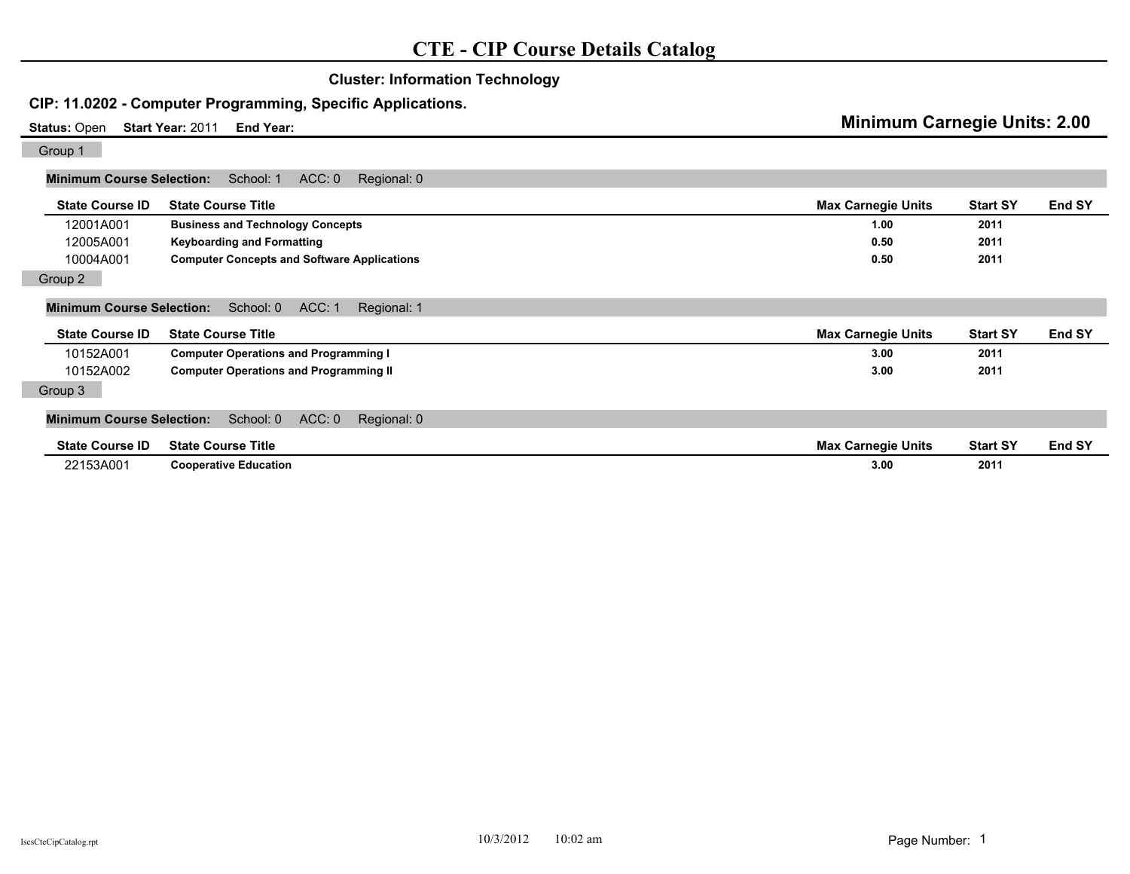|                                                                        | <b>Cluster: Information Technology</b>                      |                                     |                 |               |
|------------------------------------------------------------------------|-------------------------------------------------------------|-------------------------------------|-----------------|---------------|
|                                                                        | CIP: 11.0202 - Computer Programming, Specific Applications. |                                     |                 |               |
| <b>Status: Open</b><br>Start Year: 2011<br>End Year:                   |                                                             | <b>Minimum Carnegie Units: 2.00</b> |                 |               |
| Group 1                                                                |                                                             |                                     |                 |               |
| <b>Minimum Course Selection:</b>                                       | ACC: 0<br>School: 1<br>Regional: 0                          |                                     |                 |               |
| <b>State Course ID</b>                                                 | <b>State Course Title</b>                                   | <b>Max Carnegie Units</b>           | <b>Start SY</b> | <b>End SY</b> |
| 12001A001                                                              | <b>Business and Technology Concepts</b>                     | 1.00                                | 2011            |               |
| 12005A001                                                              | <b>Keyboarding and Formatting</b>                           | 0.50                                | 2011            |               |
| 10004A001                                                              | <b>Computer Concepts and Software Applications</b>          | 0.50                                | 2011            |               |
| Group 2                                                                |                                                             |                                     |                 |               |
| <b>Minimum Course Selection:</b><br>ACC: 1<br>School: 0<br>Regional: 1 |                                                             |                                     |                 |               |
| <b>State Course ID</b>                                                 | <b>State Course Title</b>                                   | <b>Max Carnegie Units</b>           | <b>Start SY</b> | End SY        |
| 10152A001                                                              | <b>Computer Operations and Programming I</b>                | 3.00                                | 2011            |               |
| 10152A002                                                              | <b>Computer Operations and Programming II</b>               | 3.00                                | 2011            |               |
| Group 3                                                                |                                                             |                                     |                 |               |
| <b>Minimum Course Selection:</b>                                       | ACC: 0<br>School: 0<br>Regional: 0                          |                                     |                 |               |
| <b>State Course ID</b>                                                 | <b>State Course Title</b>                                   | <b>Max Carnegie Units</b>           | <b>Start SY</b> | End SY        |
| 22153A001                                                              | <b>Cooperative Education</b>                                | 3.00                                | 2011            |               |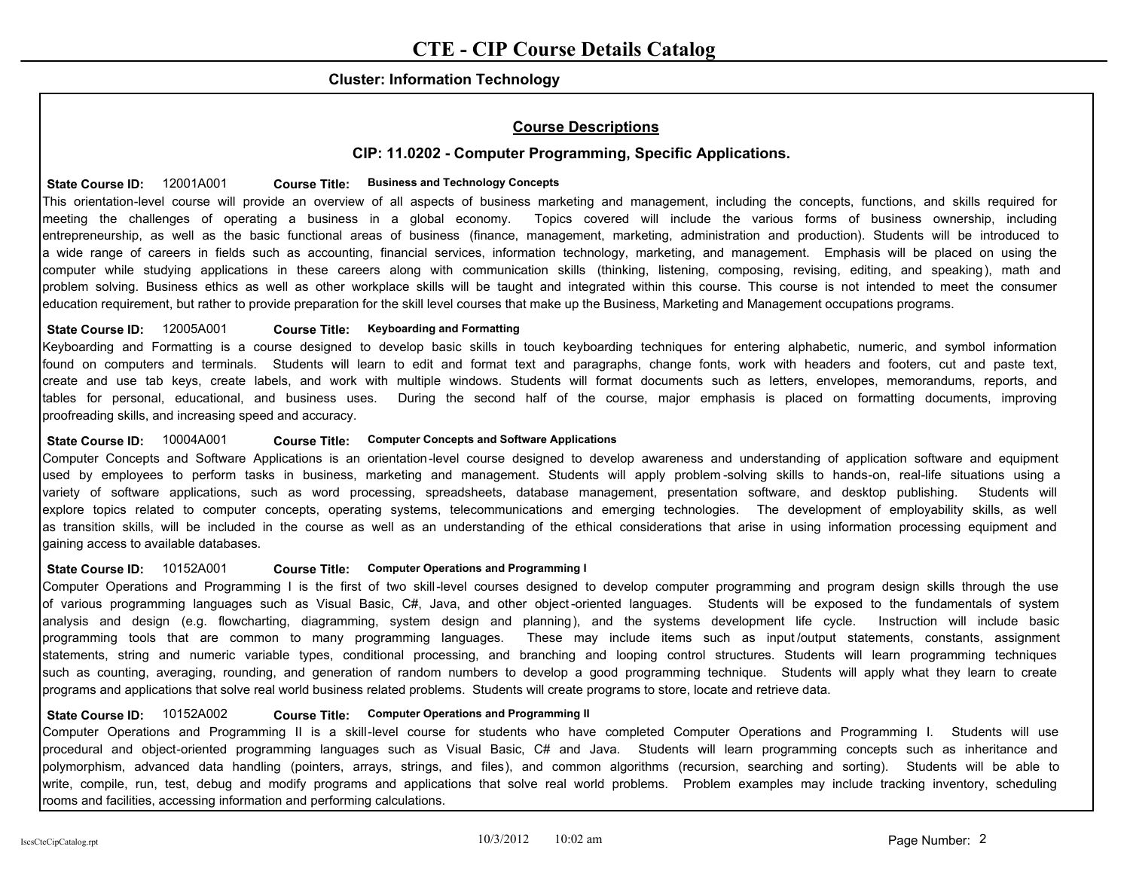## **Cluster: Information Technology**

# **Course Descriptions**

# **CIP: 11.0202 - Computer Programming, Specific Applications.**

### **State Course ID:** 12001A001 **Business and Technology Concepts Course Title:**

This orientation-level course will provide an overview of all aspects of business marketing and management, including the concepts, functions, and skills required for meeting the challenges of operating a business in a global economy. Topics covered will include the various forms of business ownership, including entrepreneurship, as well as the basic functional areas of business (finance, management, marketing, administration and production). Students will be introduced to a wide range of careers in fields such as accounting, financial services, information technology, marketing, and management. Emphasis will be placed on using the computer while studying applications in these careers along with communication skills (thinking, listening, composing, revising, editing, and speaking), math and problem solving. Business ethics as well as other workplace skills will be taught and integrated within this course. This course is not intended to meet the consumer education requirement, but rather to provide preparation for the skill level courses that make up the Business, Marketing and Management occupations programs.

### State Course ID: 12005A001 **Course Title: Keyboarding and Formatting**

Keyboarding and Formatting is a course designed to develop basic skills in touch keyboarding techniques for entering alphabetic, numeric, and symbol information found on computers and terminals. Students will learn to edit and format text and paragraphs, change fonts, work with headers and footers, cut and paste text, create and use tab keys, create labels, and work with multiple windows. Students will format documents such as letters, envelopes, memorandums, reports, and tables for personal, educational, and business uses. During the second half of the course, major emphasis is placed on formatting documents, improving proofreading skills, and increasing speed and accuracy.

#### State Course ID:  $10004A001$  Course Title: Computer Concepts and Software Applications

Computer Concepts and Software Applications is an orientation-level course designed to develop awareness and understanding of application software and equipment used by employees to perform tasks in business, marketing and management. Students will apply problem -solving skills to hands-on, real-life situations using a variety of software applications, such as word processing, spreadsheets, database management, presentation software, and desktop publishing. Students will explore topics related to computer concepts, operating systems, telecommunications and emerging technologies. The development of employability skills, as well as transition skills, will be included in the course as well as an understanding of the ethical considerations that arise in using information processing equipment and gaining access to available databases.

#### State Course ID:  $10152A001$  Course Title: Computer Operations and Programming I

Computer Operations and Programming I is the first of two skill-level courses designed to develop computer programming and program design skills through the use of various programming languages such as Visual Basic, C#, Java, and other object -oriented languages. Students will be exposed to the fundamentals of system analysis and design (e.g. flowcharting, diagramming, system design and planning), and the systems development life cycle. Instruction will include basic programming tools that are common to many programming languages. These may include items such as input /output statements, constants, assignment statements, string and numeric variable types, conditional processing, and branching and looping control structures. Students will learn programming techniques such as counting, averaging, rounding, and generation of random numbers to develop a good programming technique. Students will apply what they learn to create programs and applications that solve real world business related problems. Students will create programs to store, locate and retrieve data.

#### State Course ID:  $10152A002$  Course Title: Computer Operations and Programming II

Computer Operations and Programming II is a skill-level course for students who have completed Computer Operations and Programming I. Students will use procedural and object-oriented programming languages such as Visual Basic, C# and Java. Students will learn programming concepts such as inheritance and polymorphism, advanced data handling (pointers, arrays, strings, and files), and common algorithms (recursion, searching and sorting). Students will be able to write, compile, run, test, debug and modify programs and applications that solve real world problems. Problem examples may include tracking inventory, scheduling rooms and facilities, accessing information and performing calculations.